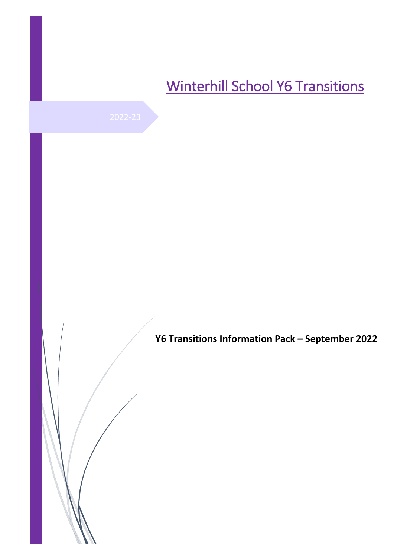# Winterhill School Y6 Transitions

**Y6 Transitions Information Pack – September 2022**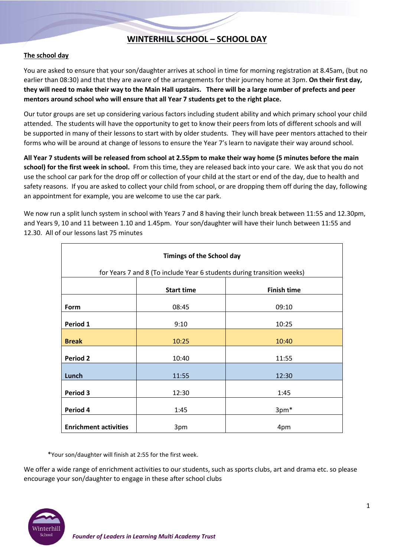## **WINTERHILL SCHOOL – SCHOOL DAY**

#### **The school day**

You are asked to ensure that your son/daughter arrives at school in time for morning registration at 8.45am, (but no earlier than 08:30) and that they are aware of the arrangements for their journey home at 3pm. **On their first day, they will need to make their way to the Main Hall upstairs. There will be a large number of prefects and peer mentors around school who will ensure that all Year 7 students get to the right place.**

Our tutor groups are set up considering various factors including student ability and which primary school your child attended. The students will have the opportunity to get to know their peers from lots of different schools and will be supported in many of their lessons to start with by older students. They will have peer mentors attached to their forms who will be around at change of lessons to ensure the Year 7's learn to navigate their way around school.

**All Year 7 students will be released from school at 2.55pm to make their way home (5 minutes before the main school) for the first week in school.** From this time, they are released back into your care. We ask that you do not use the school car park for the drop off or collection of your child at the start or end of the day, due to health and safety reasons. If you are asked to collect your child from school, or are dropping them off during the day, following an appointment for example, you are welcome to use the car park.

We now run a split lunch system in school with Years 7 and 8 having their lunch break between 11:55 and 12.30pm, and Years 9, 10 and 11 between 1.10 and 1.45pm. Your son/daughter will have their lunch between 11:55 and 12.30. All of our lessons last 75 minutes

| <b>Timings of the School day</b>                                       |                   |                    |  |  |  |  |  |  |  |
|------------------------------------------------------------------------|-------------------|--------------------|--|--|--|--|--|--|--|
| for Years 7 and 8 (To include Year 6 students during transition weeks) |                   |                    |  |  |  |  |  |  |  |
|                                                                        | <b>Start time</b> | <b>Finish time</b> |  |  |  |  |  |  |  |
| Form                                                                   | 08:45             | 09:10              |  |  |  |  |  |  |  |
| Period 1                                                               | 9:10              | 10:25              |  |  |  |  |  |  |  |
| <b>Break</b>                                                           | 10:25             | 10:40              |  |  |  |  |  |  |  |
| <b>Period 2</b>                                                        | 10:40             | 11:55              |  |  |  |  |  |  |  |
| Lunch                                                                  | 11:55             | 12:30              |  |  |  |  |  |  |  |
| Period 3                                                               | 12:30             | 1:45               |  |  |  |  |  |  |  |
| Period 4                                                               | 1:45              | 3pm*               |  |  |  |  |  |  |  |
| <b>Enrichment activities</b>                                           | 3pm               | 4pm                |  |  |  |  |  |  |  |

\*Your son/daughter will finish at 2:55 for the first week.

We offer a wide range of enrichment activities to our students, such as sports clubs, art and drama etc. so please encourage your son/daughter to engage in these after school clubs

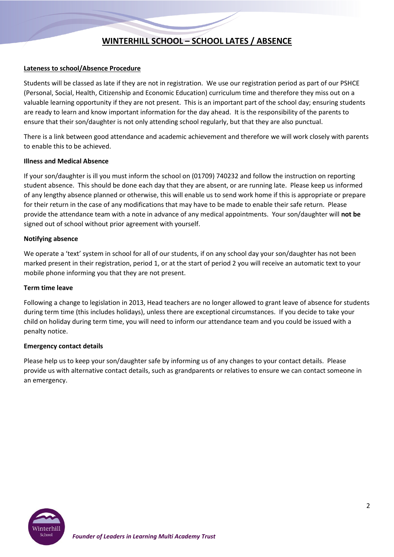## **WINTERHILL SCHOOL – SCHOOL LATES / ABSENCE**

#### **Lateness to school/Absence Procedure**

Students will be classed as late if they are not in registration. We use our registration period as part of our PSHCE (Personal, Social, Health, Citizenship and Economic Education) curriculum time and therefore they miss out on a valuable learning opportunity if they are not present. This is an important part of the school day; ensuring students are ready to learn and know important information for the day ahead. It is the responsibility of the parents to ensure that their son/daughter is not only attending school regularly, but that they are also punctual.

There is a link between good attendance and academic achievement and therefore we will work closely with parents to enable this to be achieved.

#### **Illness and Medical Absence**

If your son/daughter is ill you must inform the school on (01709) 740232 and follow the instruction on reporting student absence. This should be done each day that they are absent, or are running late. Please keep us informed of any lengthy absence planned or otherwise, this will enable us to send work home if this is appropriate or prepare for their return in the case of any modifications that may have to be made to enable their safe return. Please provide the attendance team with a note in advance of any medical appointments. Your son/daughter will **not be** signed out of school without prior agreement with yourself.

#### **Notifying absence**

We operate a 'text' system in school for all of our students, if on any school day your son/daughter has not been marked present in their registration, period 1, or at the start of period 2 you will receive an automatic text to your mobile phone informing you that they are not present.

#### **Term time leave**

Following a change to legislation in 2013, Head teachers are no longer allowed to grant leave of absence for students during term time (this includes holidays), unless there are exceptional circumstances. If you decide to take your child on holiday during term time, you will need to inform our attendance team and you could be issued with a penalty notice.

#### **Emergency contact details**

Please help us to keep your son/daughter safe by informing us of any changes to your contact details. Please provide us with alternative contact details, such as grandparents or relatives to ensure we can contact someone in an emergency.

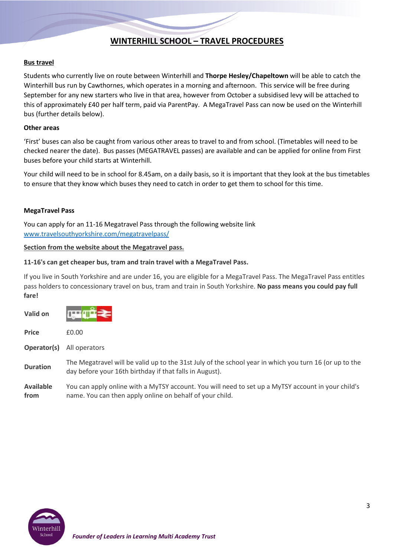## **WINTERHILL SCHOOL – TRAVEL PROCEDURES**

#### **Bus travel**

Students who currently live on route between Winterhill and **Thorpe Hesley/Chapeltown** will be able to catch the Winterhill bus run by Cawthornes, which operates in a morning and afternoon. This service will be free during September for any new starters who live in that area, however from October a subsidised levy will be attached to this of approximately £40 per half term, paid via ParentPay. A MegaTravel Pass can now be used on the Winterhill bus (further details below).

#### **Other areas**

'First' buses can also be caught from various other areas to travel to and from school. (Timetables will need to be checked nearer the date). Bus passes (MEGATRAVEL passes) are available and can be applied for online from First buses before your child starts at Winterhill.

Your child will need to be in school for 8.45am, on a daily basis, so it is important that they look at the bus timetables to ensure that they know which buses they need to catch in order to get them to school for this time.

#### **MegaTravel Pass**

You can apply for an 11-16 Megatravel Pass through the following website link [www.travelsouthyorkshire.com/megatravelpass/](http://www.travelsouthyorkshire.com/megatravelpass/)

#### **Section from the website about the Megatravel pass.**

#### **11-16's can get cheaper bus, tram and train travel with a MegaTravel Pass.**

If you live in South Yorkshire and are under 16, you are eligible for a MegaTravel Pass. The MegaTravel Pass entitles pass holders to concessionary travel on bus, tram and train in South Yorkshire. **No pass means you could pay full fare!**

| Valid on                 |                                                                                                                                                                   |
|--------------------------|-------------------------------------------------------------------------------------------------------------------------------------------------------------------|
| <b>Price</b>             | £0.00                                                                                                                                                             |
| Operator(s)              | All operators                                                                                                                                                     |
| <b>Duration</b>          | The Megatravel will be valid up to the 31st July of the school year in which you turn 16 (or up to the<br>day before your 16th birthday if that falls in August). |
| <b>Available</b><br>from | You can apply online with a MyTSY account. You will need to set up a MyTSY account in your child's<br>name. You can then apply online on behalf of your child.    |

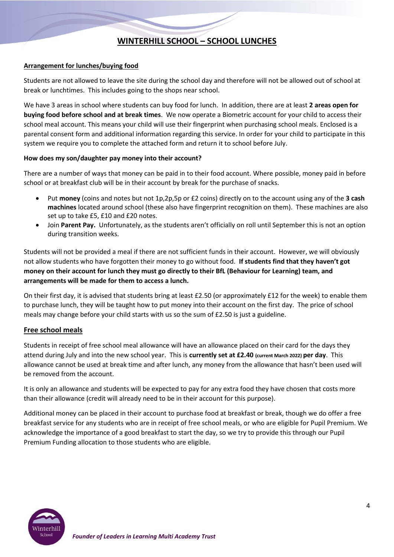## **WINTERHILL SCHOOL – SCHOOL LUNCHES**

#### **Arrangement for lunches/buying food**

Students are not allowed to leave the site during the school day and therefore will not be allowed out of school at break or lunchtimes. This includes going to the shops near school.

We have 3 areas in school where students can buy food for lunch. In addition, there are at least **2 areas open for buying food before school and at break times**. We now operate a Biometric account for your child to access their school meal account. This means your child will use their fingerprint when purchasing school meals. Enclosed is a parental consent form and additional information regarding this service. In order for your child to participate in this system we require you to complete the attached form and return it to school before July.

#### **How does my son/daughter pay money into their account?**

There are a number of ways that money can be paid in to their food account. Where possible, money paid in before school or at breakfast club will be in their account by break for the purchase of snacks.

- Put **money** (coins and notes but not 1p,2p,5p or £2 coins) directly on to the account using any of the **3 cash machines** located around school (these also have fingerprint recognition on them). These machines are also set up to take £5, £10 and £20 notes.
- Join **Parent Pay.** Unfortunately, as the students aren't officially on roll until September this is not an option during transition weeks.

Students will not be provided a meal if there are not sufficient funds in their account. However, we will obviously not allow students who have forgotten their money to go without food. **If students find that they haven't got money on their account for lunch they must go directly to their BfL (Behaviour for Learning) team, and arrangements will be made for them to access a lunch.**

On their first day, it is advised that students bring at least £2.50 (or approximately £12 for the week) to enable them to purchase lunch, they will be taught how to put money into their account on the first day. The price of school meals may change before your child starts with us so the sum of £2.50 is just a guideline.

#### **Free school meals**

Students in receipt of free school meal allowance will have an allowance placed on their card for the days they attend during July and into the new school year. This is **currently set at £2.40 (current March 2022) per day**. This allowance cannot be used at break time and after lunch, any money from the allowance that hasn't been used will be removed from the account.

It is only an allowance and students will be expected to pay for any extra food they have chosen that costs more than their allowance (credit will already need to be in their account for this purpose).

Additional money can be placed in their account to purchase food at breakfast or break, though we do offer a free breakfast service for any students who are in receipt of free school meals, or who are eligible for Pupil Premium. We acknowledge the importance of a good breakfast to start the day, so we try to provide this through our Pupil Premium Funding allocation to those students who are eligible.

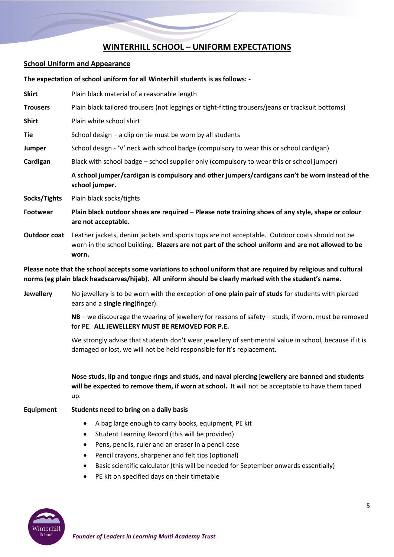## **WINTERHILL SCHOOL – UNIFORM EXPECTATIONS**

#### **School Uniform and Appearance**

**The expectation of school uniform for all Winterhill students is as follows: -**

**Skirt** Plain black material of a reasonable length **Trousers** Plain black tailored trousers (not leggings or tight-fitting trousers/jeans or tracksuit bottoms) **Shirt** Plain white school shirt **Tie** School design – a clip on tie must be worn by all students **Jumper** School design - 'V' neck with school badge (compulsory to wear this or school cardigan) **Cardigan** Black with school badge – school supplier only (compulsory to wear this or school jumper) **A school jumper/cardigan is compulsory and other jumpers/cardigans can't be worn instead of the school jumper. Socks/Tights** Plain black socks/tights **Footwear Plain black outdoor shoes are required – Please note training shoes of any style, shape or colour are not acceptable. Outdoor coat** Leather jackets, denim jackets and sports tops are not acceptable. Outdoor coats should not be worn in the school building. **Blazers are not part of the school uniform and are not allowed to be worn.**

**Please note that the school accepts some variations to school uniform that are required by religious and cultural norms (eg plain black headscarves/hijab). All uniform should be clearly marked with the student's name.**

**Jewellery** No jewellery is to be worn with the exception of **one plain pair of studs** for students with pierced ears and a **single ring**(finger).

> **NB** – we discourage the wearing of jewellery for reasons of safety – studs, if worn, must be removed for PE. **ALL JEWELLERY MUST BE REMOVED FOR P.E.**

> We strongly advise that students don't wear jewellery of sentimental value in school, because if it is damaged or lost, we will not be held responsible for it's replacement.

> **Nose studs, lip and tongue rings and studs, and naval piercing jewellery are banned and students will be expected to remove them, if worn at school.** It will not be acceptable to have them taped up.

#### **Equipment Students need to bring on a daily basis**

- A bag large enough to carry books, equipment, PE kit
- Student Learning Record (this will be provided)
- Pens, pencils, ruler and an eraser in a pencil case
- Pencil crayons, sharpener and felt tips (optional)
- Basic scientific calculator (this will be needed for September onwards essentially)
- PE kit on specified days on their timetable

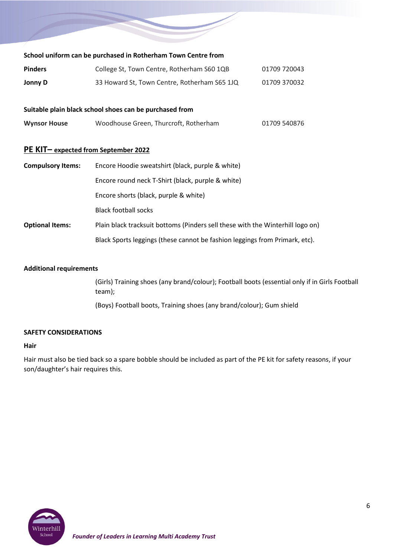| School uniform can be purchased in Rotherham Town Centre from |                                              |              |  |  |  |  |  |  |
|---------------------------------------------------------------|----------------------------------------------|--------------|--|--|--|--|--|--|
| <b>Pinders</b>                                                | College St, Town Centre, Rotherham S60 1QB   | 01709 720043 |  |  |  |  |  |  |
| Jonny D                                                       | 33 Howard St, Town Centre, Rotherham S65 1JQ | 01709 370032 |  |  |  |  |  |  |

#### **Suitable plain black school shoes can be purchased from**

| <b>Wynsor House</b> | Woodhouse Green, Thurcroft, Rotherham | 01709 540876 |
|---------------------|---------------------------------------|--------------|
|                     |                                       |              |

## **PE KIT– expected from September 2022**

| <b>Compulsory Items:</b> | Encore Hoodie sweatshirt (black, purple & white)                               |  |  |  |  |  |  |
|--------------------------|--------------------------------------------------------------------------------|--|--|--|--|--|--|
|                          | Encore round neck T-Shirt (black, purple & white)                              |  |  |  |  |  |  |
|                          | Encore shorts (black, purple & white)                                          |  |  |  |  |  |  |
|                          | <b>Black football socks</b>                                                    |  |  |  |  |  |  |
| <b>Optional Items:</b>   | Plain black tracksuit bottoms (Pinders sell these with the Winterhill logo on) |  |  |  |  |  |  |
|                          | Black Sports leggings (these cannot be fashion leggings from Primark, etc).    |  |  |  |  |  |  |

#### **Additional requirements**

(Girls) Training shoes (any brand/colour); Football boots (essential only if in Girls Football team); (Boys) Football boots, Training shoes (any brand/colour); Gum shield

#### **SAFETY CONSIDERATIONS**

#### **Hair**

Hair must also be tied back so a spare bobble should be included as part of the PE kit for safety reasons, if your son/daughter's hair requires this.

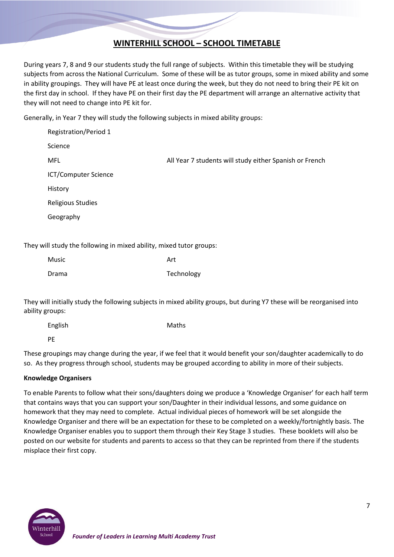# **WINTERHILL SCHOOL – SCHOOL TIMETABLE**

During years 7, 8 and 9 our students study the full range of subjects. Within this timetable they will be studying subjects from across the National Curriculum. Some of these will be as tutor groups, some in mixed ability and some in ability groupings. They will have PE at least once during the week, but they do not need to bring their PE kit on the first day in school. If they have PE on their first day the PE department will arrange an alternative activity that they will not need to change into PE kit for.

Generally, in Year 7 they will study the following subjects in mixed ability groups:

| <b>Registration/Period 1</b> |                                                         |
|------------------------------|---------------------------------------------------------|
| Science                      |                                                         |
| <b>MFL</b>                   | All Year 7 students will study either Spanish or French |
| ICT/Computer Science         |                                                         |
| History                      |                                                         |
| <b>Religious Studies</b>     |                                                         |
| Geography                    |                                                         |
|                              |                                                         |

They will study the following in mixed ability, mixed tutor groups:

| Music | Art        |
|-------|------------|
| Drama | Technology |

They will initially study the following subjects in mixed ability groups, but during Y7 these will be reorganised into ability groups:

| English              |                      |  | Maths |  |                                                                                                                 |              |  |   |  |
|----------------------|----------------------|--|-------|--|-----------------------------------------------------------------------------------------------------------------|--------------|--|---|--|
| - PE                 |                      |  |       |  |                                                                                                                 |              |  |   |  |
| $\sim$ $\sim$ $\sim$ | $\sim$ $\sim$ $\sim$ |  |       |  | the contract of the contract of the contract of the contract of the contract of the contract of the contract of | $\mathbf{r}$ |  | . |  |

These groupings may change during the year, if we feel that it would benefit your son/daughter academically to do so. As they progress through school, students may be grouped according to ability in more of their subjects.

#### **Knowledge Organisers**

To enable Parents to follow what their sons/daughters doing we produce a 'Knowledge Organiser' for each half term that contains ways that you can support your son/Daughter in their individual lessons, and some guidance on homework that they may need to complete. Actual individual pieces of homework will be set alongside the Knowledge Organiser and there will be an expectation for these to be completed on a weekly/fortnightly basis. The Knowledge Organiser enables you to support them through their Key Stage 3 studies. These booklets will also be posted on our website for students and parents to access so that they can be reprinted from there if the students misplace their first copy.

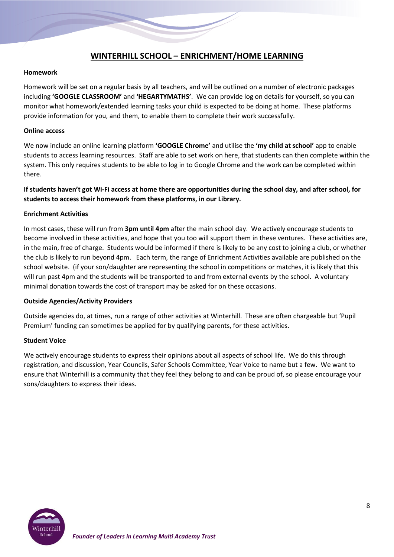## **WINTERHILL SCHOOL – ENRICHMENT/HOME LEARNING**

#### **Homework**

Homework will be set on a regular basis by all teachers, and will be outlined on a number of electronic packages including **'GOOGLE CLASSROOM'** and **'HEGARTYMATHS'**. We can provide log on details for yourself, so you can monitor what homework/extended learning tasks your child is expected to be doing at home. These platforms provide information for you, and them, to enable them to complete their work successfully.

#### **Online access**

We now include an online learning platform **'GOOGLE Chrome'** and utilise the **'my child at school'** app to enable students to access learning resources. Staff are able to set work on here, that students can then complete within the system. This only requires students to be able to log in to Google Chrome and the work can be completed within there.

**If students haven't got Wi-Fi access at home there are opportunities during the school day, and after school, for students to access their homework from these platforms, in our Library.**

#### **Enrichment Activities**

In most cases, these will run from **3pm until 4pm** after the main school day. We actively encourage students to become involved in these activities, and hope that you too will support them in these ventures. These activities are, in the main, free of charge. Students would be informed if there is likely to be any cost to joining a club, or whether the club is likely to run beyond 4pm. Each term, the range of Enrichment Activities available are published on the school website. (if your son/daughter are representing the school in competitions or matches, it is likely that this will run past 4pm and the students will be transported to and from external events by the school. A voluntary minimal donation towards the cost of transport may be asked for on these occasions.

#### **Outside Agencies/Activity Providers**

Outside agencies do, at times, run a range of other activities at Winterhill. These are often chargeable but 'Pupil Premium' funding can sometimes be applied for by qualifying parents, for these activities.

#### **Student Voice**

We actively encourage students to express their opinions about all aspects of school life. We do this through registration, and discussion, Year Councils, Safer Schools Committee, Year Voice to name but a few. We want to ensure that Winterhill is a community that they feel they belong to and can be proud of, so please encourage your sons/daughters to express their ideas.